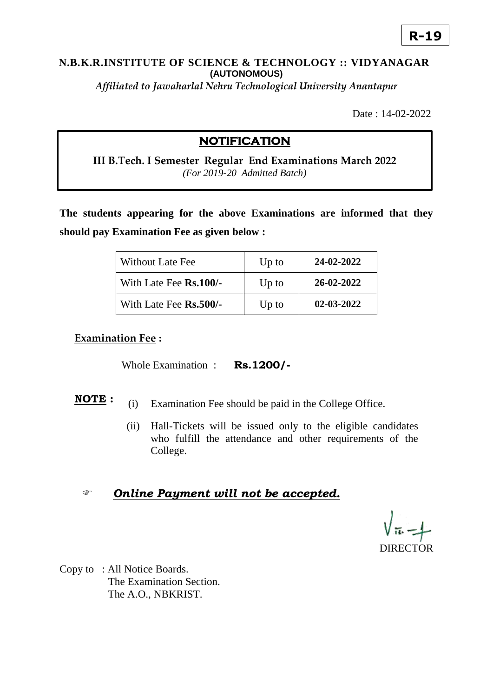# **R-19**

#### **N.B.K.R.INSTITUTE OF SCIENCE & TECHNOLOGY :: VIDYANAGAR (AUTONOMOUS)**

*Affiliated to Jawaharlal Nehru Technological University Anantapur*

Date : 14-02-2022

### **NOTIFICATION**

**III B.Tech. I Semester Regular End Examinations March 2022**  *(For 2019-20 Admitted Batch)*

**The students appearing for the above Examinations are informed that they should pay Examination Fee as given below :**

| <b>Without Late Fee</b>       | $Up$ to | 24-02-2022       |
|-------------------------------|---------|------------------|
| With Late Fee <b>Rs.100/-</b> | $Up$ to | 26-02-2022       |
| With Late Fee <b>Rs.500/-</b> | $Up$ to | $02 - 03 - 2022$ |

#### **Examination Fee :**

Whole Examination : **Rs.1200/-**

- **NOTE :** (i) Examination Fee should be paid in the College Office.
	- (ii) Hall-Tickets will be issued only to the eligible candidates who fulfill the attendance and other requirements of the College.

### *Online Payment will not be accepted.*

**DIRECTOR** 

Copy to : All Notice Boards. The Examination Section. The A.O., NBKRIST.